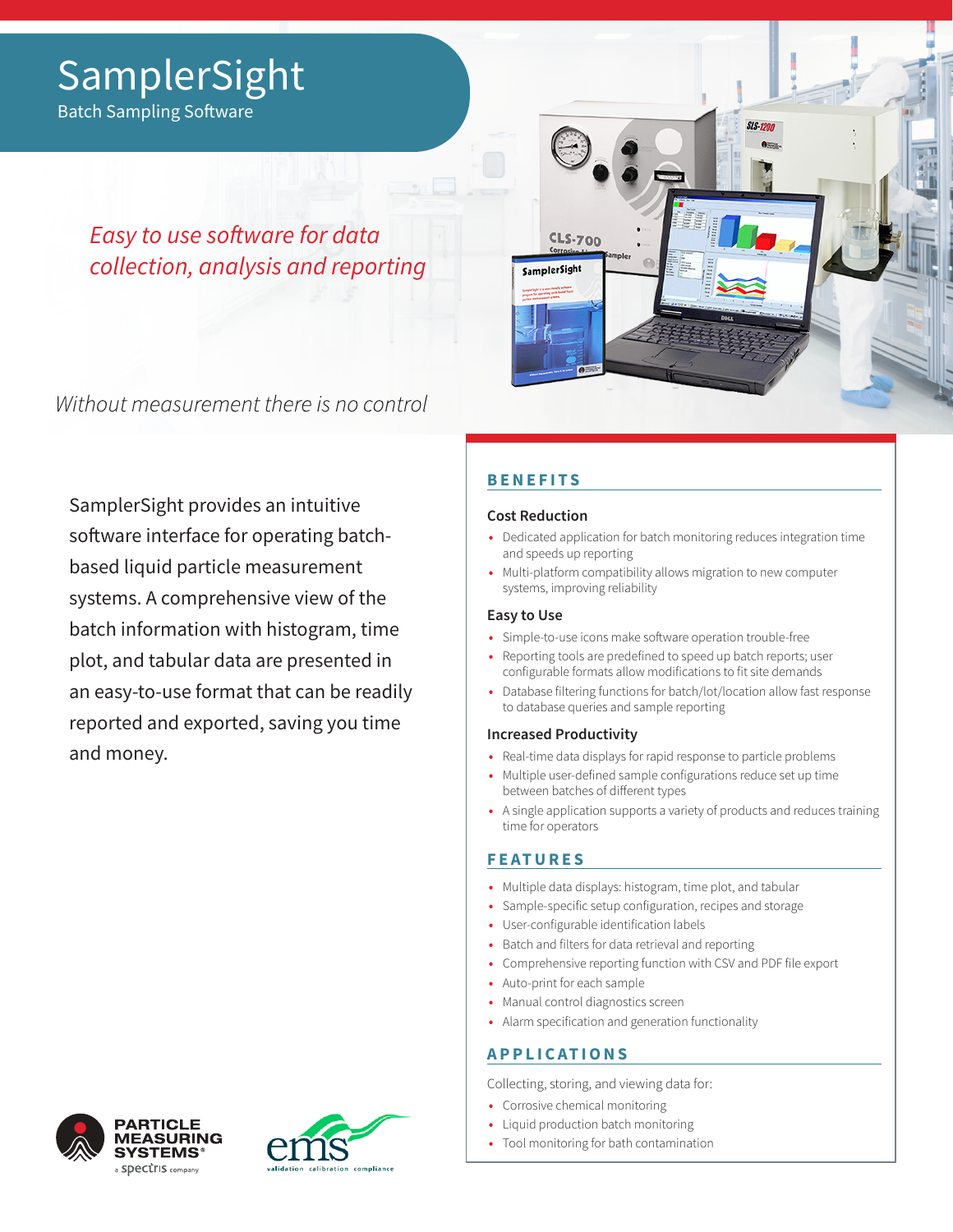# **SamplerSight**

Batch Sampling Software

*Easy to use software for data collection, analysis and reporting*

Without measurement there is no control

SamplerSight provides an intuitive software interface for operating batchbased liquid particle measurement systems. A comprehensive view of the batch information with histogram, time plot, and tabular data are presented in an easy-to-use format that can be readily reported and exported, saving you time and money.

### **BENEFITS**

**CLS-700** 

SamplerSight

### **Cost Reduction**

- **•** Dedicated application for batch monitoring reduces integration time and speeds up reporting
- **•** Multi-platform compatibility allows migration to new computer systems, improving reliability

### **Easy to Use**

- **•** Simple-to-use icons make software operation trouble-free
- **•** Reporting tools are predefined to speed up batch reports; user configurable formats allow modifications to fit site demands
- **•** Database filtering functions for batch/lot/location allow fast response to database queries and sample reporting

### **Increased Productivity**

- **•** Real-time data displays for rapid response to particle problems
- **•** Multiple user-defined sample configurations reduce set up time between batches of different types
- **•** A single application supports a variety of products and reduces training time for operators

### **FEATURES**

- **•** Multiple data displays: histogram, time plot, and tabular
- **•** Sample-specific setup configuration, recipes and storage
- **•** User-configurable identification labels
- **•** Batch and filters for data retrieval and reporting
- **•** Comprehensive reporting function with CSV and PDF file export
- **•** Auto-print for each sample
- **•** Manual control diagnostics screen
- **•** Alarm specification and generation functionality

### **APPLICATIONS**

Collecting, storing, and viewing data for:

- **•** Corrosive chemical monitoring
- **•** Liquid production batch monitoring
- **•** Tool monitoring for bath contamination